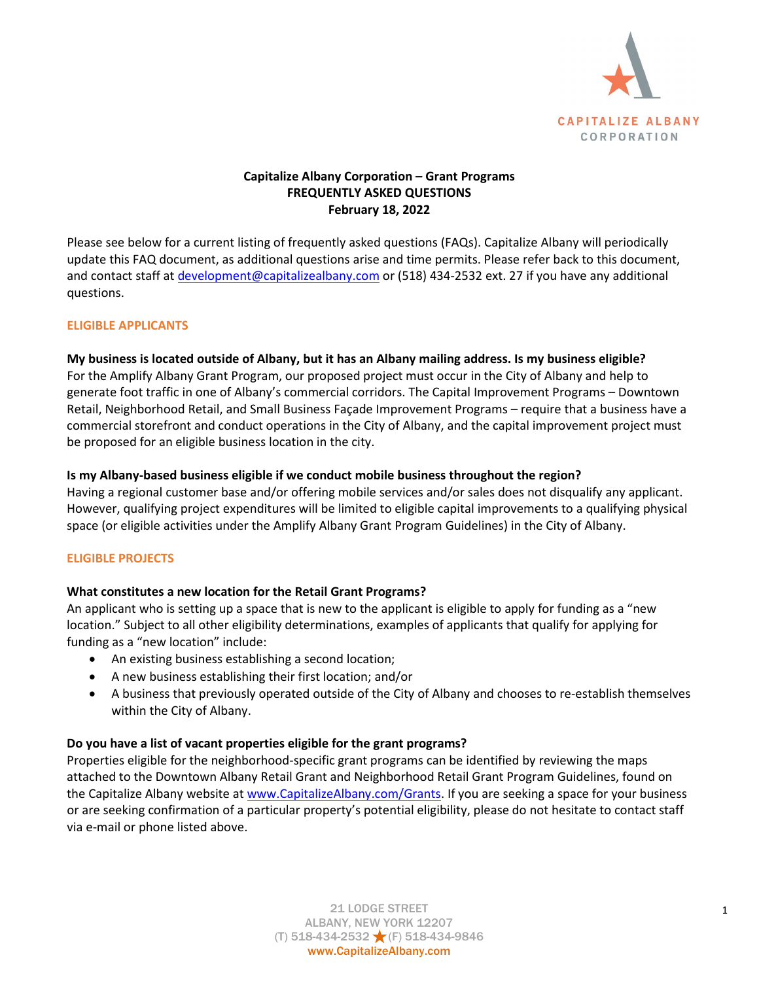

# **Capitalize Albany Corporation – Grant Programs FREQUENTLY ASKED QUESTIONS February 18, 2022**

Please see below for a current listing of frequently asked questions (FAQs). Capitalize Albany will periodically update this FAQ document, as additional questions arise and time permits. Please refer back to this document, and contact staff at [development@capitalizealbany.com](mailto:development@capitalizealbany.com) or (518) 434-2532 ext. 27 if you have any additional questions.

# **ELIGIBLE APPLICANTS**

## **My business is located outside of Albany, but it has an Albany mailing address. Is my business eligible?**

For the Amplify Albany Grant Program, our proposed project must occur in the City of Albany and help to generate foot traffic in one of Albany's commercial corridors. The Capital Improvement Programs – Downtown Retail, Neighborhood Retail, and Small Business Façade Improvement Programs – require that a business have a commercial storefront and conduct operations in the City of Albany, and the capital improvement project must be proposed for an eligible business location in the city.

## **Is my Albany-based business eligible if we conduct mobile business throughout the region?**

Having a regional customer base and/or offering mobile services and/or sales does not disqualify any applicant. However, qualifying project expenditures will be limited to eligible capital improvements to a qualifying physical space (or eligible activities under the Amplify Albany Grant Program Guidelines) in the City of Albany.

# **ELIGIBLE PROJECTS**

# **What constitutes a new location for the Retail Grant Programs?**

An applicant who is setting up a space that is new to the applicant is eligible to apply for funding as a "new location." Subject to all other eligibility determinations, examples of applicants that qualify for applying for funding as a "new location" include:

- An existing business establishing a second location;
- A new business establishing their first location; and/or
- A business that previously operated outside of the City of Albany and chooses to re-establish themselves within the City of Albany.

## **Do you have a list of vacant properties eligible for the grant programs?**

Properties eligible for the neighborhood-specific grant programs can be identified by reviewing the maps attached to the Downtown Albany Retail Grant and Neighborhood Retail Grant Program Guidelines, found on the Capitalize Albany website at [www.CapitalizeAlbany.com/Grants.](http://www.capitalizealbany.com/Grants) If you are seeking a space for your business or are seeking confirmation of a particular property's potential eligibility, please do not hesitate to contact staff via e-mail or phone listed above.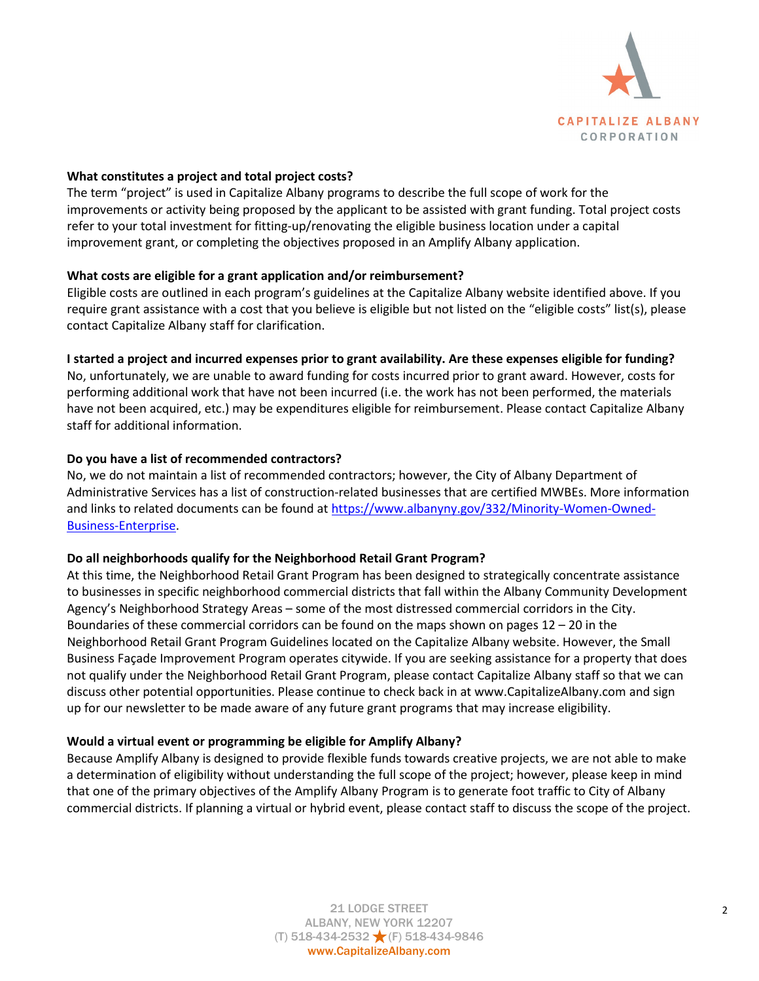

# **What constitutes a project and total project costs?**

The term "project" is used in Capitalize Albany programs to describe the full scope of work for the improvements or activity being proposed by the applicant to be assisted with grant funding. Total project costs refer to your total investment for fitting-up/renovating the eligible business location under a capital improvement grant, or completing the objectives proposed in an Amplify Albany application.

# **What costs are eligible for a grant application and/or reimbursement?**

Eligible costs are outlined in each program's guidelines at the Capitalize Albany website identified above. If you require grant assistance with a cost that you believe is eligible but not listed on the "eligible costs" list(s), please contact Capitalize Albany staff for clarification.

# **I started a project and incurred expenses prior to grant availability. Are these expenses eligible for funding?**

No, unfortunately, we are unable to award funding for costs incurred prior to grant award. However, costs for performing additional work that have not been incurred (i.e. the work has not been performed, the materials have not been acquired, etc.) may be expenditures eligible for reimbursement. Please contact Capitalize Albany staff for additional information.

## **Do you have a list of recommended contractors?**

No, we do not maintain a list of recommended contractors; however, the City of Albany Department of Administrative Services has a list of construction-related businesses that are certified MWBEs. More information and links to related documents can be found at [https://www.albanyny.gov/332/Minority-Women-Owned-](https://www.albanyny.gov/332/Minority-Women-Owned-Business-Enterprise)[Business-Enterprise.](https://www.albanyny.gov/332/Minority-Women-Owned-Business-Enterprise)

## **Do all neighborhoods qualify for the Neighborhood Retail Grant Program?**

At this time, the Neighborhood Retail Grant Program has been designed to strategically concentrate assistance to businesses in specific neighborhood commercial districts that fall within the Albany Community Development Agency's Neighborhood Strategy Areas – some of the most distressed commercial corridors in the City. Boundaries of these commercial corridors can be found on the maps shown on pages 12 – 20 in the Neighborhood Retail Grant Program Guidelines located on the Capitalize Albany website. However, the Small Business Façade Improvement Program operates citywide. If you are seeking assistance for a property that does not qualify under the Neighborhood Retail Grant Program, please contact Capitalize Albany staff so that we can discuss other potential opportunities. Please continue to check back in at [www.CapitalizeAlbany.com](http://www.capitalizealbany.com/) and sign up for our newsletter to be made aware of any future grant programs that may increase eligibility.

## **Would a virtual event or programming be eligible for Amplify Albany?**

Because Amplify Albany is designed to provide flexible funds towards creative projects, we are not able to make a determination of eligibility without understanding the full scope of the project; however, please keep in mind that one of the primary objectives of the Amplify Albany Program is to generate foot traffic to City of Albany commercial districts. If planning a virtual or hybrid event, please contact staff to discuss the scope of the project.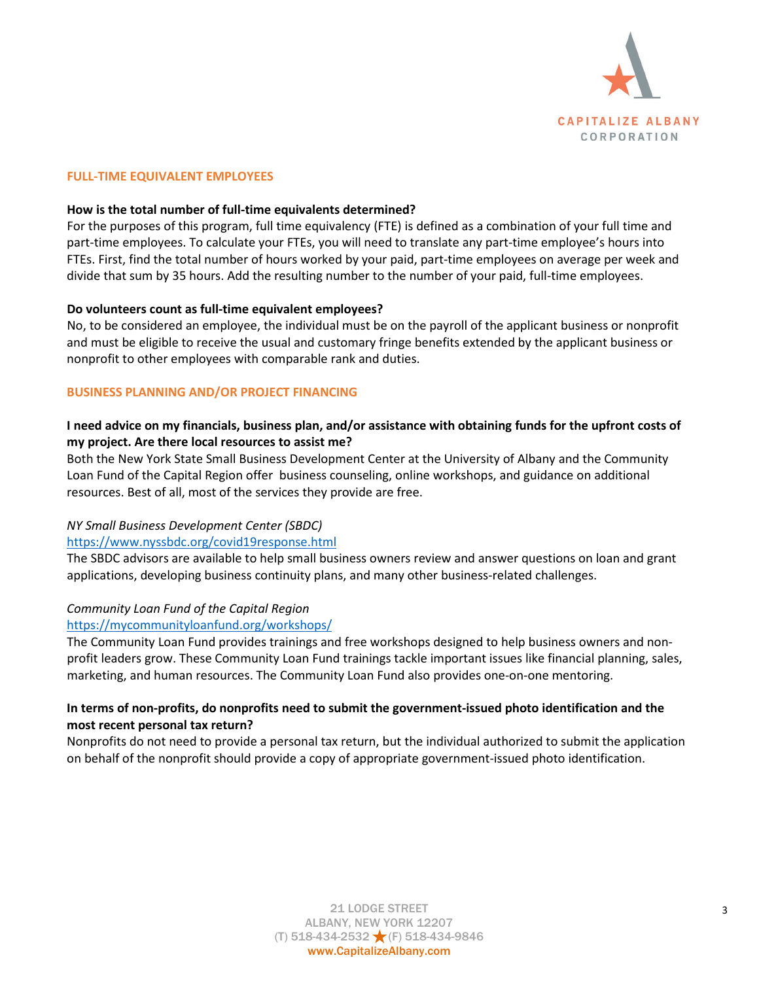

## **FULL-TIME EQUIVALENT EMPLOYEES**

#### **How is the total number of full-time equivalents determined?**

For the purposes of this program, full time equivalency (FTE) is defined as a combination of your full time and part-time employees. To calculate your FTEs, you will need to translate any part-time employee's hours into FTEs. First, find the total number of hours worked by your paid, part-time employees on average per week and divide that sum by 35 hours. Add the resulting number to the number of your paid, full-time employees.

#### **Do volunteers count as full-time equivalent employees?**

No, to be considered an employee, the individual must be on the payroll of the applicant business or nonprofit and must be eligible to receive the usual and customary fringe benefits extended by the applicant business or nonprofit to other employees with comparable rank and duties.

#### **BUSINESS PLANNING AND/OR PROJECT FINANCING**

# **I need advice on my financials, business plan, and/or assistance with obtaining funds for the upfront costs of my project. Are there local resources to assist me?**

Both the New York State Small Business Development Center at the University of Albany and the Community Loan Fund of the Capital Region offer business counseling, online workshops, and guidance on additional resources. Best of all, most of the services they provide are free.

## *NY Small Business Development Center (SBDC)*

## <https://www.nyssbdc.org/covid19response.html>

The SBDC advisors are available to help small business owners review and answer questions on loan and grant applications, developing business continuity plans, and many other business-related challenges.

## *Community Loan Fund of the Capital Region*

## <https://mycommunityloanfund.org/workshops/>

The Community Loan Fund provides trainings and free workshops designed to help business owners and nonprofit leaders grow. These Community Loan Fund trainings tackle important issues like financial planning, sales, marketing, and human resources. The Community Loan Fund also provides one-on-one mentoring.

# **In terms of non-profits, do nonprofits need to submit the government-issued photo identification and the most recent personal tax return?**

Nonprofits do not need to provide a personal tax return, but the individual authorized to submit the application on behalf of the nonprofit should provide a copy of appropriate government-issued photo identification.